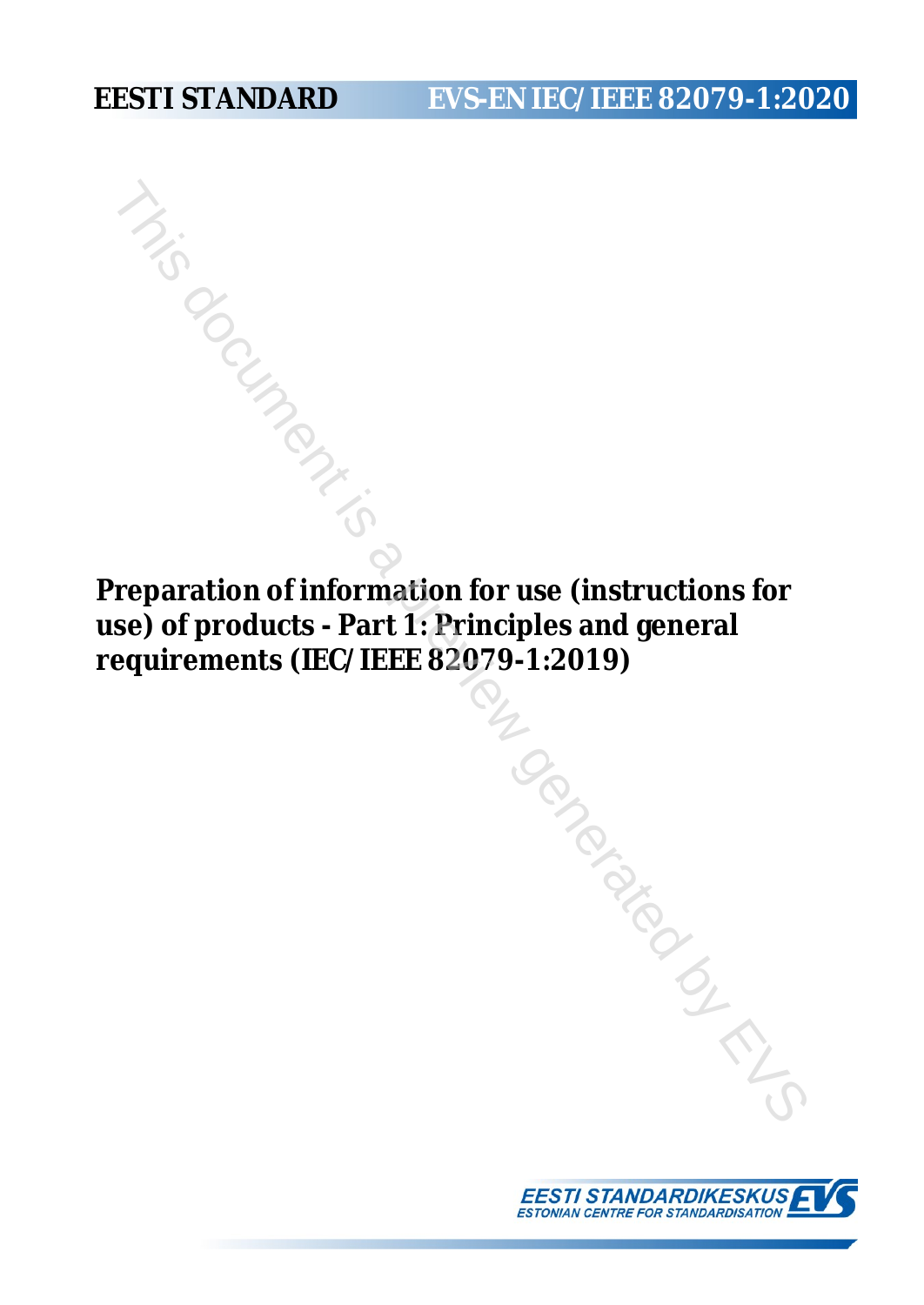# **EESTI STANDARD EVS-EN IEC/IEEE 82079-1:2020**

**Preparation of information for use (instructions for use) of products - Part 1: Principles and general requirements (IEC/IEEE 82079-1:2019)**

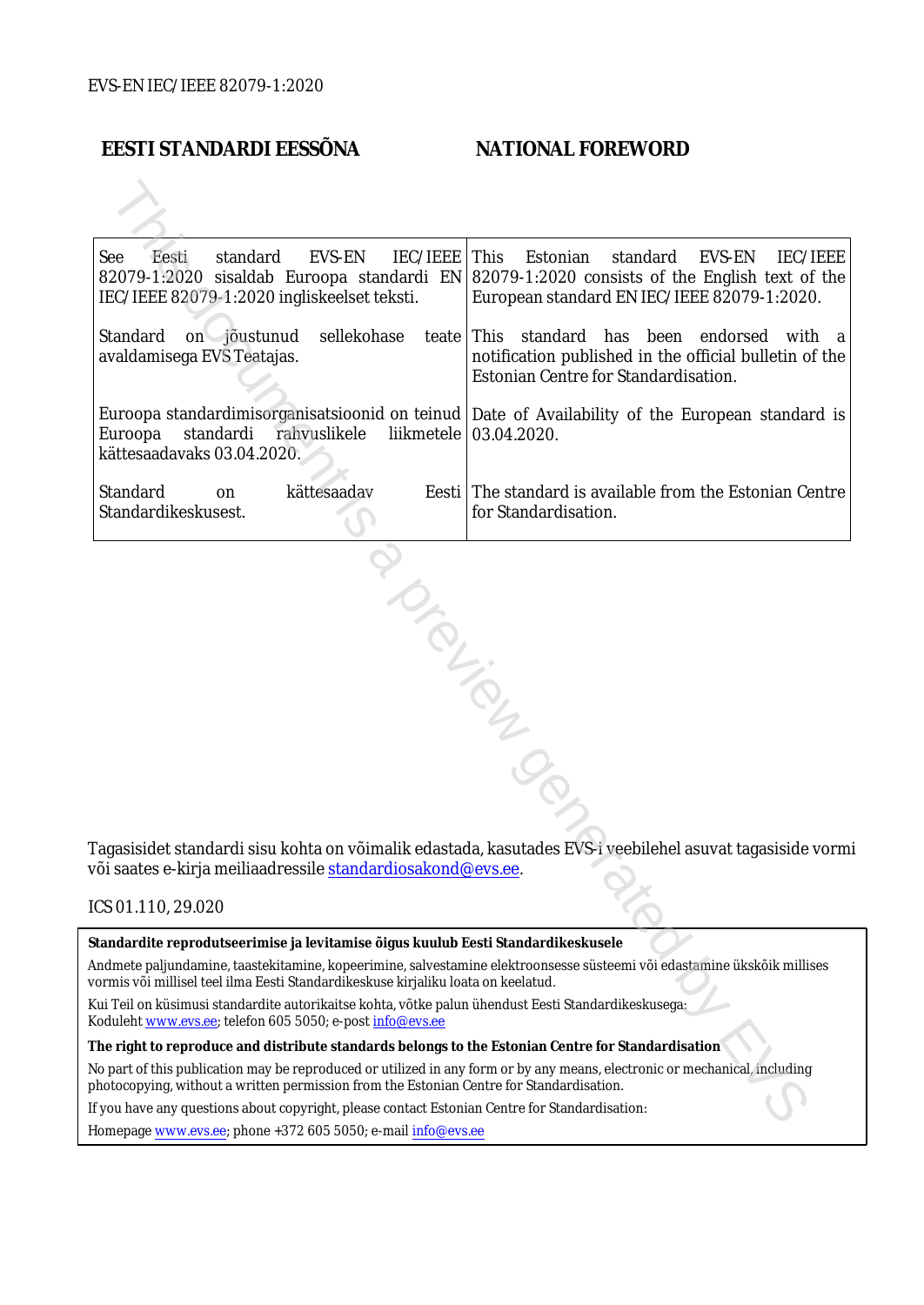# **EESTI STANDARDI EESSÕNA NATIONAL FOREWORD**

| <b>IEC/IEEE</b><br>See<br>Eesti<br>standard<br>EVS-EN<br>IEC/IEEE 82079-1:2020 ingliskeelset teksti.                                                                                                                   | This<br>Estonian<br>EVS-EN<br>IEC/IEEE<br>standard<br>82079-1:2020 sisaldab Euroopa standardi EN 82079-1:2020 consists of the English text of the<br>European standard EN IEC/IEEE 82079-1:2020. |
|------------------------------------------------------------------------------------------------------------------------------------------------------------------------------------------------------------------------|--------------------------------------------------------------------------------------------------------------------------------------------------------------------------------------------------|
| Standard<br>sellekohase<br>on jõustunud<br>avaldamisega EVS Teatajas.                                                                                                                                                  | teate   This standard<br>has been<br>endorsed<br>with<br>notification published in the official bulletin of the<br>Estonian Centre for Standardisation.                                          |
| Euroopa<br>standardi<br>rahvuslikele<br>kättesaadavaks 03.04.2020.                                                                                                                                                     | Euroopa standardimisorganisatsioonid on teinud   Date of Availability of the European standard is<br>liikmetele   03.04.2020.                                                                    |
| Standard<br>kättesaadav<br>on<br>Standardikeskusest.                                                                                                                                                                   | Eesti The standard is available from the Estonian Centre<br>for Standardisation.                                                                                                                 |
| või saates e-kirja meiliaadressile <u>standardiosakond@evs.ee</u> .                                                                                                                                                    | Tagasisidet standardi sisu kohta on võimalik edastada, kasutades EVS-i veebilehel asuvat tagasiside vormi                                                                                        |
| ICS 01.110, 29.020                                                                                                                                                                                                     |                                                                                                                                                                                                  |
| Standardite reprodutseerimise ja levitamise õigus kuulub Eesti Standardikeskusele                                                                                                                                      |                                                                                                                                                                                                  |
| vormis või millisel teel ilma Eesti Standardikeskuse kirjaliku loata on keelatud.                                                                                                                                      | Andmete paljundamine, taastekitamine, kopeerimine, salvestamine elektroonsesse süsteemi või edastamine ükskõik millises                                                                          |
| : Kui Teil on küsimusi standardite autorikaitse kohta, võtke palun ühendust Eesti Standardikeskusega<br>Coduleht www.evs.ee; telefon 605 5050; e-post info@evs.ee                                                      |                                                                                                                                                                                                  |
| The right to reproduce and distribute standards belongs to the Estonian Centre for Standardisation                                                                                                                     |                                                                                                                                                                                                  |
| No part of this publication may be reproduced or utilized in any form or by any means, electronic or mechanical, including<br>ohotocopying, without a written permission from the Estonian Centre for Standardisation. |                                                                                                                                                                                                  |
| f you have any questions about copyright, please contact Estonian Centre for Standardisation:                                                                                                                          |                                                                                                                                                                                                  |
|                                                                                                                                                                                                                        |                                                                                                                                                                                                  |

#### ICS 01.110, 29.020

Homepage [www.evs.ee](http://www.evs.ee/); phone +372 605 5050; e-mail info@evs.ee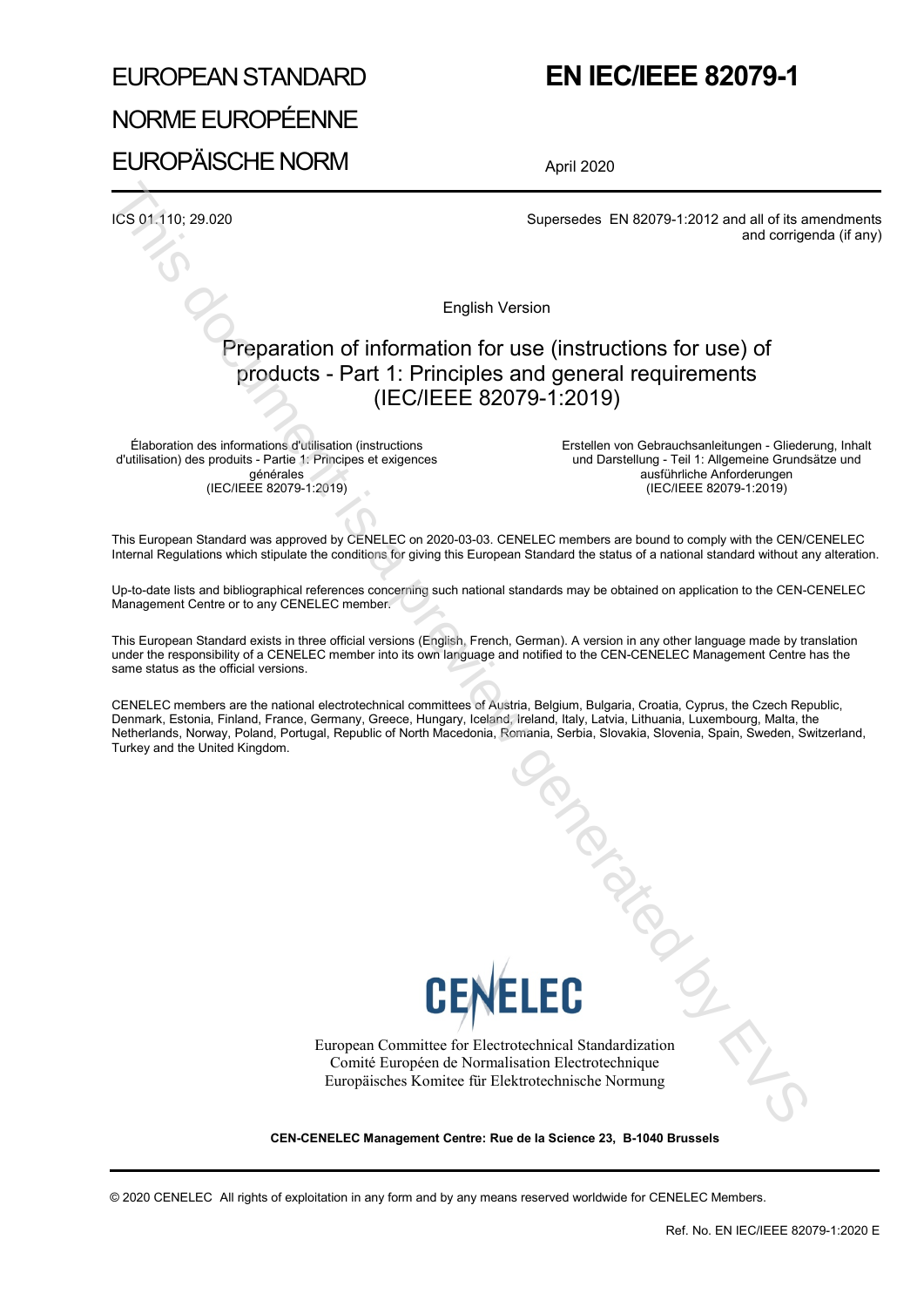# EUROPEAN STANDARD NORME EUROPÉENNE EUROPÄISCHE NORM

# **EN IEC/IEEE 82079-1**

April 2020

ICS 01.110; 29.020 Supersedes EN 82079-1:2012 and all of its amendments and corrigenda (if any)

English Version

# Preparation of information for use (instructions for use) of products - Part 1: Principles and general requirements (IEC/IEEE 82079-1:2019)

Élaboration des informations d'utilisation (instructions d'utilisation) des produits - Partie 1: Principes et exigences générales (IEC/IEEE 82079-1:2019)

Erstellen von Gebrauchsanleitungen - Gliederung, Inhalt und Darstellung - Teil 1: Allgemeine Grundsätze und ausführliche Anforderungen (IEC/IEEE 82079-1:2019)

This European Standard was approved by CENELEC on 2020-03-03. CENELEC members are bound to comply with the CEN/CENELEC Internal Regulations which stipulate the conditions for giving this European Standard the status of a national standard without any alteration.

Up-to-date lists and bibliographical references concerning such national standards may be obtained on application to the CEN-CENELEC Management Centre or to any CENELEC member.

This European Standard exists in three official versions (English, French, German). A version in any other language made by translation under the responsibility of a CENELEC member into its own language and notified to the CEN-CENELEC Management Centre has the same status as the official versions.

CENELEC members are the national electrotechnical committees of Austria, Belgium, Bulgaria, Croatia, Cyprus, the Czech Republic, Denmark, Estonia, Finland, France, Germany, Greece, Hungary, Iceland, Ireland, Italy, Latvia, Lithuania, Luxembourg, Malta, the Netherlands, Norway, Poland, Portugal, Republic of North Macedonia, Romania, Serbia, Slovakia, Slovenia, Spain, Sweden, Switzerland, Turkey and the United Kingdom.



European Committee for Electrotechnical Standardization Comité Européen de Normalisation Electrotechnique Europäisches Komitee für Elektrotechnische Normung Tongalar

**CEN-CENELEC Management Centre: Rue de la Science 23, B-1040 Brussels**

© 2020 CENELEC All rights of exploitation in any form and by any means reserved worldwide for CENELEC Members.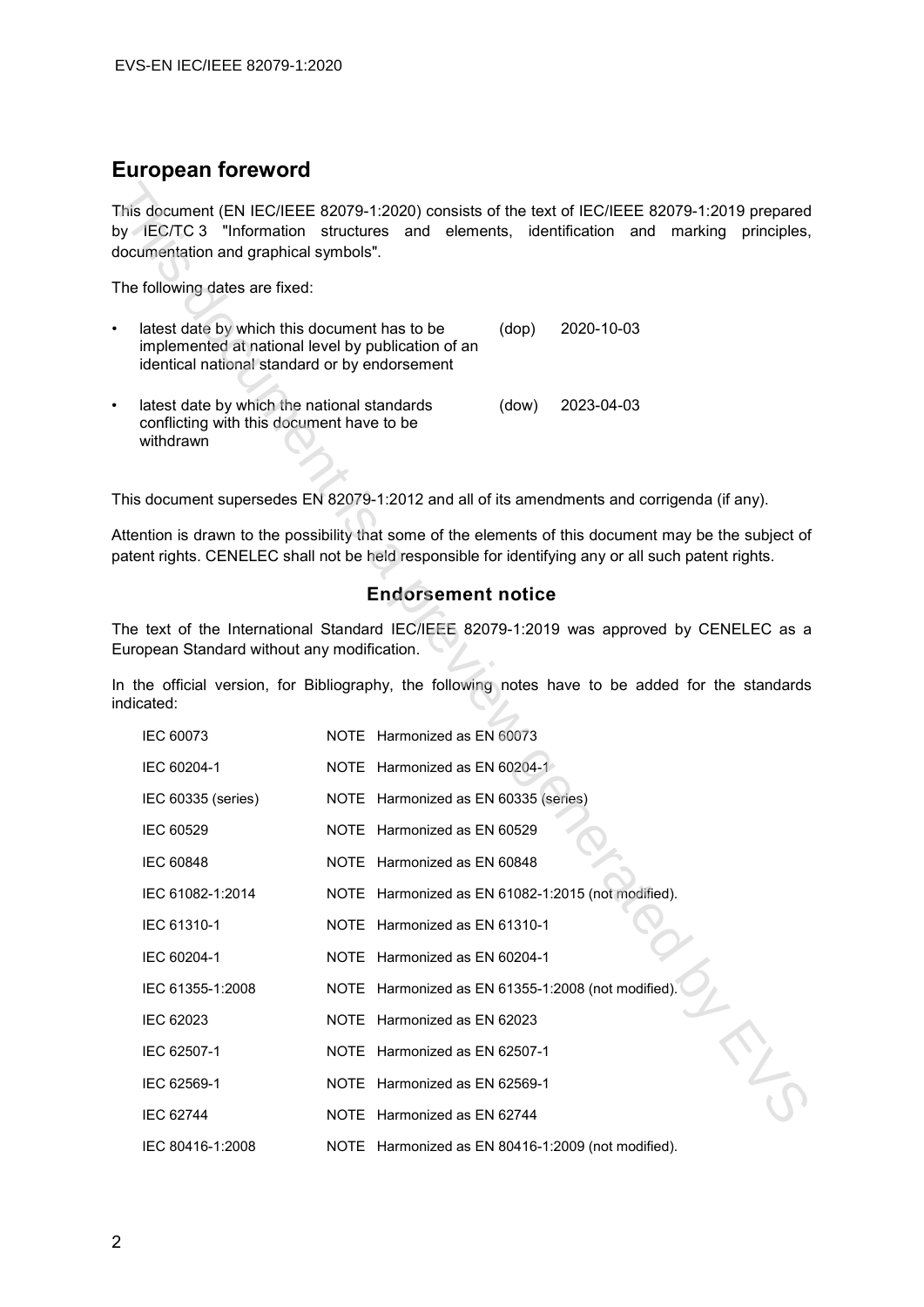# **European foreword**

| $\bullet$ | latest date by which this document has to be<br>implemented at national level by publication of an<br>identical national standard or by endorsement | (dop) | 2020-10-03 |
|-----------|-----------------------------------------------------------------------------------------------------------------------------------------------------|-------|------------|
| $\bullet$ | latest date by which the national standards<br>conflicting with this document have to be<br>withdrawn                                               | (dow) | 2023-04-03 |

#### **Endorsement notice**

| This document (EN IEC/IEEE 82079-1:2020) consists of the text of IEC/IEEE 82079-1:2019 prepared<br>by IEC/TC 3 "Information structures and elements, identification and<br>documentation and graphical symbols". |                                                    |            | marking<br>principles, |
|------------------------------------------------------------------------------------------------------------------------------------------------------------------------------------------------------------------|----------------------------------------------------|------------|------------------------|
| The following dates are fixed:                                                                                                                                                                                   |                                                    |            |                        |
| latest date by which this document has to be<br>٠<br>implemented at national level by publication of an<br>identical national standard or by endorsement                                                         | (dop)                                              | 2020-10-03 |                        |
| latest date by which the national standards<br>٠<br>conflicting with this document have to be<br>withdrawn                                                                                                       | (dow)                                              | 2023-04-03 |                        |
| This document supersedes EN 82079-1:2012 and all of its amendments and corrigenda (if any).                                                                                                                      |                                                    |            |                        |
| Attention is drawn to the possibility that some of the elements of this document may be the subject of<br>patent rights. CENELEC shall not be held responsible for identifying any or all such patent rights.    |                                                    |            |                        |
|                                                                                                                                                                                                                  | <b>Endorsement notice</b>                          |            |                        |
| The text of the International Standard IEC/IEEE 82079-1:2019 was approved by CENELEC as a<br>European Standard without any modification.                                                                         |                                                    |            |                        |
| In the official version, for Bibliography, the following notes have to be added for the standards<br>indicated:                                                                                                  |                                                    |            |                        |
| IEC 60073                                                                                                                                                                                                        | NOTE Harmonized as EN 60073                        |            |                        |
| IEC 60204-1                                                                                                                                                                                                      | NOTE Harmonized as EN 60204-1                      |            |                        |
| IEC 60335 (series)                                                                                                                                                                                               | NOTE Harmonized as EN 60335 (series)               |            |                        |
| <b>IEC 60529</b>                                                                                                                                                                                                 | NOTE Harmonized as EN 60529                        |            |                        |
| <b>IEC 60848</b>                                                                                                                                                                                                 | NOTE Harmonized as EN 60848                        |            |                        |
| IEC 61082-1:2014                                                                                                                                                                                                 | NOTE Harmonized as EN 61082-1:2015 (not modified). |            |                        |
| IEC 61310-1                                                                                                                                                                                                      | NOTE Harmonized as EN 61310-1                      |            |                        |
| IEC 60204-1                                                                                                                                                                                                      | NOTE Harmonized as EN 60204-1                      |            |                        |
| IEC 61355-1:2008                                                                                                                                                                                                 | NOTE Harmonized as EN 61355-1:2008 (not modified). |            |                        |
| IEC 62023                                                                                                                                                                                                        | NOTE Harmonized as EN 62023                        |            |                        |
| IEC 62507-1                                                                                                                                                                                                      | NOTE Harmonized as EN 62507-1                      |            |                        |
| IEC 62569-1                                                                                                                                                                                                      | NOTE Harmonized as EN 62569-1                      |            |                        |
| <b>IEC 62744</b>                                                                                                                                                                                                 | NOTE Harmonized as EN 62744                        |            |                        |
| IEC 80416-1:2008                                                                                                                                                                                                 | NOTE Harmonized as EN 80416-1:2009 (not modified). |            |                        |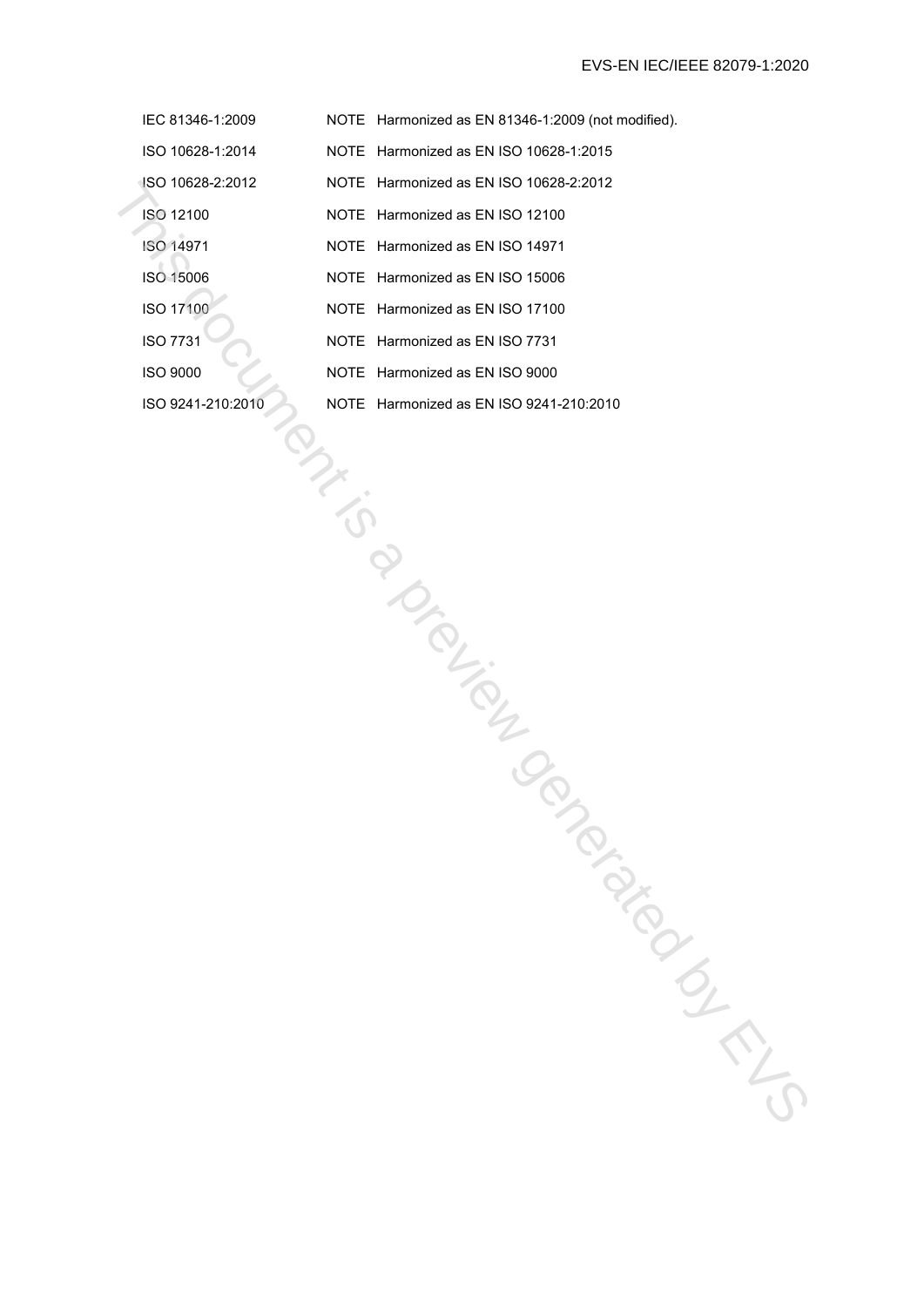- IEC 81346-1:2009 NOTE Harmonized as EN 81346-1:2009 (not modified).
- ISO 10628-1:2014 NOTE Harmonized as EN ISO 10628-1:2015
- ISO 10628-2:2012 NOTE Harmonized as EN ISO 10628-2:2012 SO 102622-2012<br>
NOTE Harmonized as EN ISO 1497<br>
ISO 12:00<br>
ISO 14:07<br>
ISO 14:07<br>
ISO 14:07<br>
ISO 14:07<br>
ISO 16:08<br>
INDIT Harmonized as EN ISO 17:00<br>
ISO 16:07<br>
INDIT Harmonized as EN ISO 75:1<br>
ISO 00:00<br>
ISO 0241-210:2010<br>
	- ISO 12100 NOTE Harmonized as EN ISO 12100
	- ISO 14971 NOTE Harmonized as EN ISO 14971
	- ISO 15006 NOTE Harmonized as EN ISO 15006
	- ISO 17100 NOTE Harmonized as EN ISO 17100
	- ISO 7731 NOTE Harmonized as EN ISO 7731
	- ISO 9000 NOTE Harmonized as EN ISO 9000
	-
	- ISO 9241-210:2010 NOTE Harmonized as EN ISO 9241-210:2010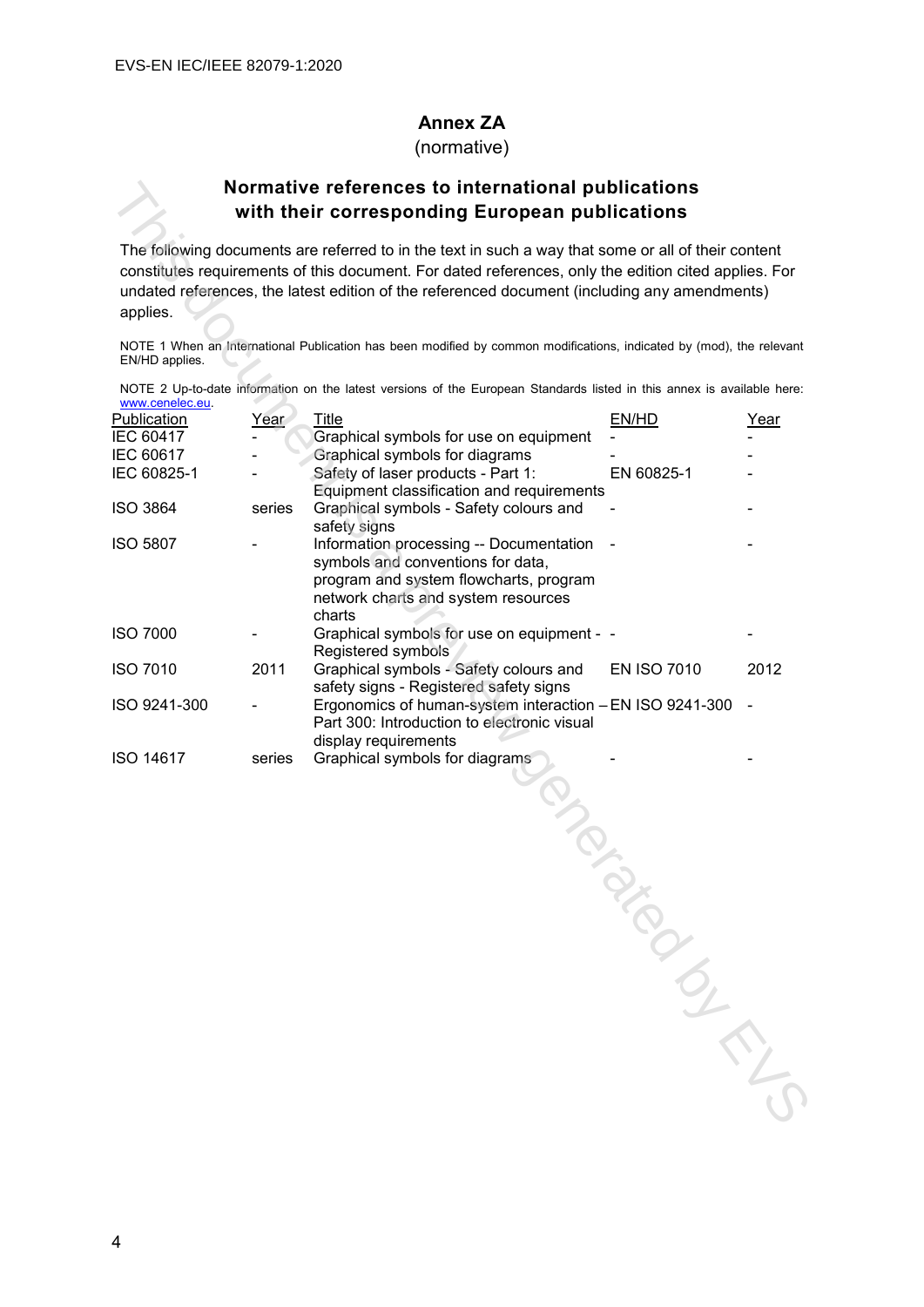### **Annex ZA**

(normative)

# **Normative references to international publications with their corresponding European publications**

| NOTE 2 Up-to-date information on the latest versions of the European Standards listed in this annex is available here: |  |  |  |  |  |  |  |
|------------------------------------------------------------------------------------------------------------------------|--|--|--|--|--|--|--|
| www.cenelec.eu                                                                                                         |  |  |  |  |  |  |  |

|                  |        | Normative references to international publications                                                                                                                                                                                                                                                          |                    |             |
|------------------|--------|-------------------------------------------------------------------------------------------------------------------------------------------------------------------------------------------------------------------------------------------------------------------------------------------------------------|--------------------|-------------|
|                  |        | with their corresponding European publications                                                                                                                                                                                                                                                              |                    |             |
| applies.         |        | The following documents are referred to in the text in such a way that some or all of their content<br>constitutes requirements of this document. For dated references, only the edition cited applies. For<br>undated references, the latest edition of the referenced document (including any amendments) |                    |             |
| EN/HD applies.   |        | NOTE 1 When an International Publication has been modified by common modifications, indicated by (mod), the relevant                                                                                                                                                                                        |                    |             |
| www.cenelec.eu   |        | NOTE 2 Up-to-date information on the latest versions of the European Standards listed in this annex is available here:                                                                                                                                                                                      |                    |             |
| Publication      | Year   | Title                                                                                                                                                                                                                                                                                                       | EN/HD              | <u>Year</u> |
| IEC 60417        |        | Graphical symbols for use on equipment                                                                                                                                                                                                                                                                      |                    |             |
| IEC 60617        |        | Graphical symbols for diagrams                                                                                                                                                                                                                                                                              |                    |             |
| IEC 60825-1      |        | Safety of laser products - Part 1:<br>Equipment classification and requirements                                                                                                                                                                                                                             | EN 60825-1         |             |
| <b>ISO 3864</b>  | series | Graphical symbols - Safety colours and<br>safety signs                                                                                                                                                                                                                                                      |                    |             |
| <b>ISO 5807</b>  |        | Information processing -- Documentation<br>symbols and conventions for data,<br>program and system flowcharts, program<br>network charts and system resources<br>charts                                                                                                                                     |                    |             |
| <b>ISO 7000</b>  |        | Graphical symbols for use on equipment - -<br>Registered symbols                                                                                                                                                                                                                                            |                    |             |
| <b>ISO 7010</b>  | 2011   | Graphical symbols - Safety colours and<br>safety signs - Registered safety signs                                                                                                                                                                                                                            | <b>EN ISO 7010</b> | 2012        |
| ISO 9241-300     |        | Ergonomics of human-system interaction - EN ISO 9241-300<br>Part 300: Introduction to electronic visual<br>display requirements                                                                                                                                                                             |                    |             |
| <b>ISO 14617</b> | series | Graphical symbols for diagrams<br>July                                                                                                                                                                                                                                                                      |                    |             |
|                  |        |                                                                                                                                                                                                                                                                                                             |                    |             |
|                  |        |                                                                                                                                                                                                                                                                                                             |                    |             |
|                  |        |                                                                                                                                                                                                                                                                                                             |                    |             |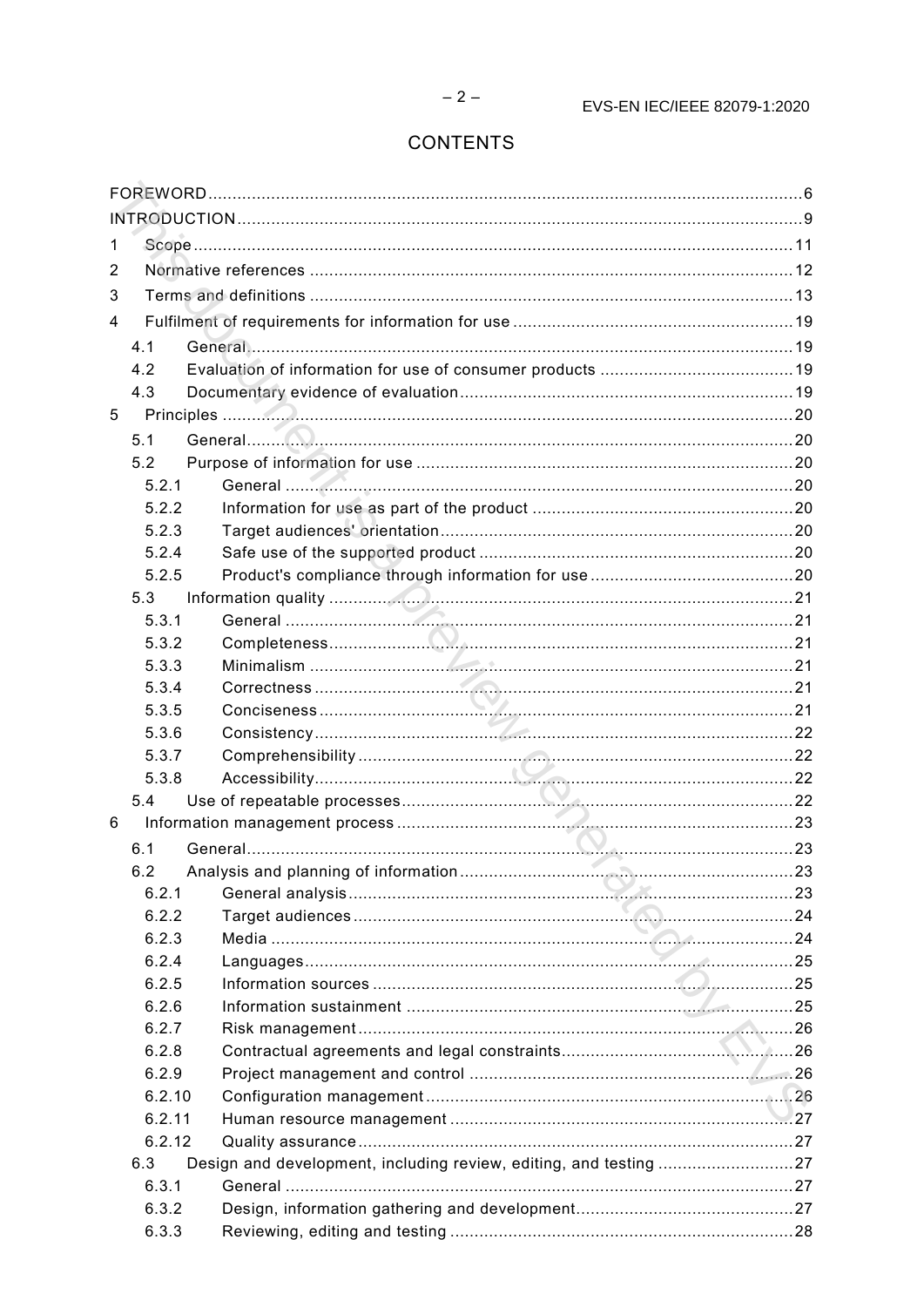# **CONTENTS**

| 1 |              |                                                                   |  |
|---|--------------|-------------------------------------------------------------------|--|
| 2 |              |                                                                   |  |
| 3 |              |                                                                   |  |
| 4 |              |                                                                   |  |
|   | 4.1          |                                                                   |  |
|   | 4.2          |                                                                   |  |
|   | 4.3          |                                                                   |  |
| 5 |              |                                                                   |  |
|   | 5.1          |                                                                   |  |
|   | 5.2          |                                                                   |  |
|   | 5.2.1        |                                                                   |  |
|   | 5.2.2        |                                                                   |  |
|   | 5.2.3        |                                                                   |  |
|   | 5.2.4        |                                                                   |  |
|   | 5.2.5        |                                                                   |  |
|   | 5.3          |                                                                   |  |
|   | 5.3.1        |                                                                   |  |
|   | 5.3.2        |                                                                   |  |
|   | 5.3.3        |                                                                   |  |
|   | 5.3.4        |                                                                   |  |
|   | 5.3.5        |                                                                   |  |
|   | 5.3.6        |                                                                   |  |
|   | 5.3.7        |                                                                   |  |
|   | 5.3.8        |                                                                   |  |
|   | 5.4          |                                                                   |  |
| 6 |              |                                                                   |  |
|   | 6.1          |                                                                   |  |
|   | 6.2          |                                                                   |  |
|   | 6.2.1        |                                                                   |  |
|   | 6.2.2        |                                                                   |  |
|   | 6.2.3        |                                                                   |  |
|   | 6.2.4        |                                                                   |  |
|   | 6.2.5        |                                                                   |  |
|   | 6.2.6        |                                                                   |  |
|   | 6.2.7        |                                                                   |  |
|   | 6.2.8        |                                                                   |  |
|   | 6.2.9        |                                                                   |  |
|   | 6.2.10       |                                                                   |  |
|   | 6.2.11       |                                                                   |  |
|   | 6.2.12       |                                                                   |  |
|   | 6.3<br>6.3.1 | Design and development, including review, editing, and testing 27 |  |
|   | 6.3.2        |                                                                   |  |
|   | 6.3.3        |                                                                   |  |
|   |              |                                                                   |  |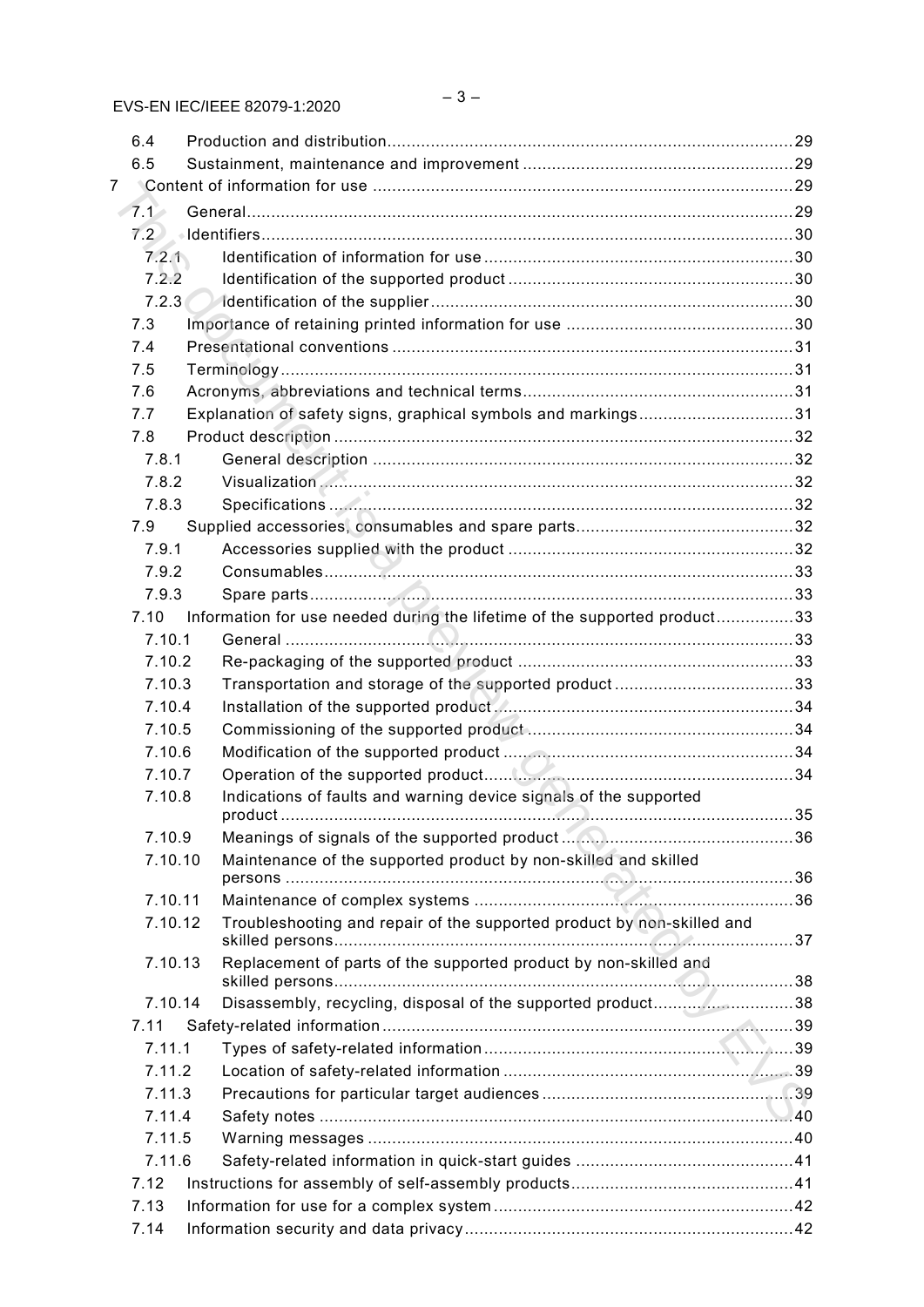|   | 6.4              |                                                                           |  |
|---|------------------|---------------------------------------------------------------------------|--|
|   | 6.5              |                                                                           |  |
| 7 |                  |                                                                           |  |
|   | $\mathcal{F}$ .1 |                                                                           |  |
|   | 7.2              |                                                                           |  |
|   | 7.2.1            |                                                                           |  |
|   | 7.2.2            |                                                                           |  |
|   | 7.2.3            |                                                                           |  |
|   | 7.3              |                                                                           |  |
|   | 7.4              |                                                                           |  |
|   | 7.5              |                                                                           |  |
|   | 7.6              |                                                                           |  |
|   | 7.7              | Explanation of safety signs, graphical symbols and markings31             |  |
|   | 7.8              |                                                                           |  |
|   | 7.8.1            |                                                                           |  |
|   | 7.8.2            |                                                                           |  |
|   | 7.8.3            |                                                                           |  |
|   | 7.9              |                                                                           |  |
|   | 7.9.1            |                                                                           |  |
|   | 7.9.2            |                                                                           |  |
|   | 7.9.3            |                                                                           |  |
|   | 7.10             | Information for use needed during the lifetime of the supported product33 |  |
|   | 7.10.1           |                                                                           |  |
|   | 7.10.2           |                                                                           |  |
|   | 7.10.3           |                                                                           |  |
|   | 7.10.4           |                                                                           |  |
|   | 7.10.5           |                                                                           |  |
|   | 7.10.6           |                                                                           |  |
|   | 7.10.7           |                                                                           |  |
|   | 7.10.8           | Indications of faults and warning device signals of the supported         |  |
|   | 7.10.9           |                                                                           |  |
|   | 7.10.10          | Maintenance of the supported product by non-skilled and skilled           |  |
|   | 7.10.11          |                                                                           |  |
|   | 7.10.12          | Troubleshooting and repair of the supported product by non-skilled and    |  |
|   | 7.10.13          | Replacement of parts of the supported product by non-skilled and          |  |
|   | 7.10.14          | Disassembly, recycling, disposal of the supported product38               |  |
|   | 7.11             |                                                                           |  |
|   | 7.11.1           |                                                                           |  |
|   | 7.11.2           |                                                                           |  |
|   | 7.11.3           |                                                                           |  |
|   | 7.11.4           |                                                                           |  |
|   | 7.11.5           |                                                                           |  |
|   | 7.11.6           |                                                                           |  |
|   | 7.12             |                                                                           |  |
|   | 7.13             |                                                                           |  |
|   | 7.14             |                                                                           |  |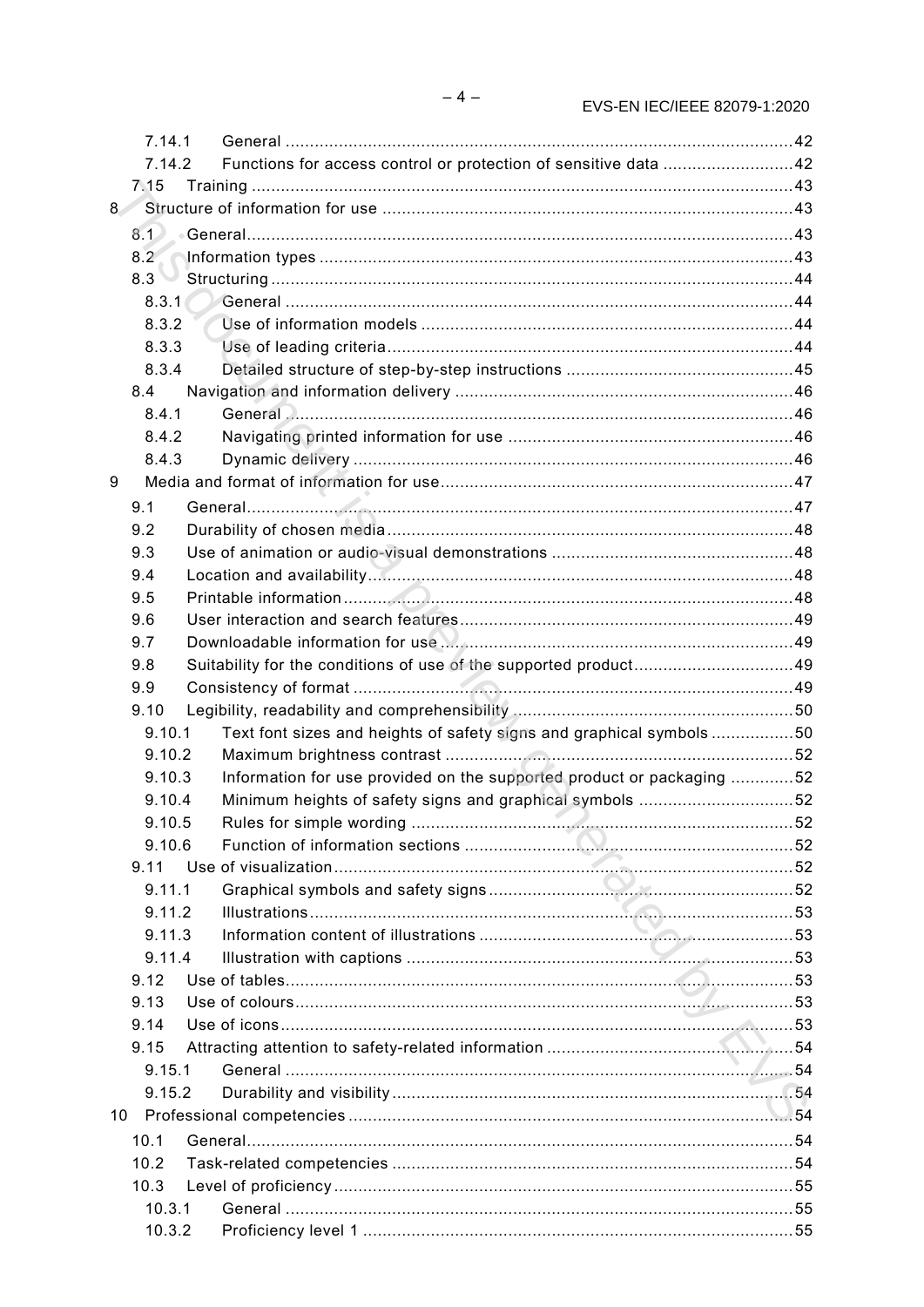| 7.14.1                 |                                                                       |  |
|------------------------|-----------------------------------------------------------------------|--|
| 7.14.2                 | Functions for access control or protection of sensitive data 42       |  |
| 7.15                   |                                                                       |  |
| $8\degree$             |                                                                       |  |
|                        |                                                                       |  |
|                        |                                                                       |  |
| $8.3$ $\triangleright$ |                                                                       |  |
|                        |                                                                       |  |
| 8.3.2                  |                                                                       |  |
| 8.3.3                  |                                                                       |  |
| 8.3.4                  |                                                                       |  |
| 8.4                    |                                                                       |  |
| 8.4.1                  |                                                                       |  |
| 8.4.2                  |                                                                       |  |
| 8.4.3                  |                                                                       |  |
| 9                      |                                                                       |  |
| 9.1                    |                                                                       |  |
| 9.2                    |                                                                       |  |
| 9.3                    |                                                                       |  |
| 9.4                    |                                                                       |  |
| 9.5                    |                                                                       |  |
| 9.6                    |                                                                       |  |
| 9.7                    |                                                                       |  |
| 9.8                    | Suitability for the conditions of use of the supported product49      |  |
| 9.9                    |                                                                       |  |
| 9.10                   |                                                                       |  |
| 9.10.1                 | Text font sizes and heights of safety signs and graphical symbols 50  |  |
| 9.10.2                 |                                                                       |  |
| 9.10.3                 | Information for use provided on the supported product or packaging 52 |  |
| 9.10.4                 | Minimum heights of safety signs and graphical symbols 52              |  |
| 9.10.5                 |                                                                       |  |
| 9.10.6                 |                                                                       |  |
| 9.11                   |                                                                       |  |
| 9.11.1                 |                                                                       |  |
| 9.11.2                 |                                                                       |  |
| 9.11.3                 |                                                                       |  |
| 9.11.4                 |                                                                       |  |
| 9.12                   |                                                                       |  |
| 9.13                   |                                                                       |  |
| 9.14                   |                                                                       |  |
| 9.15                   |                                                                       |  |
| 9.15.1                 |                                                                       |  |
| 9.15.2                 |                                                                       |  |
| 10                     |                                                                       |  |
| 10.1                   |                                                                       |  |
| 10.2                   |                                                                       |  |
| 10.3                   |                                                                       |  |
| 10.3.1                 |                                                                       |  |
| 10.3.2                 |                                                                       |  |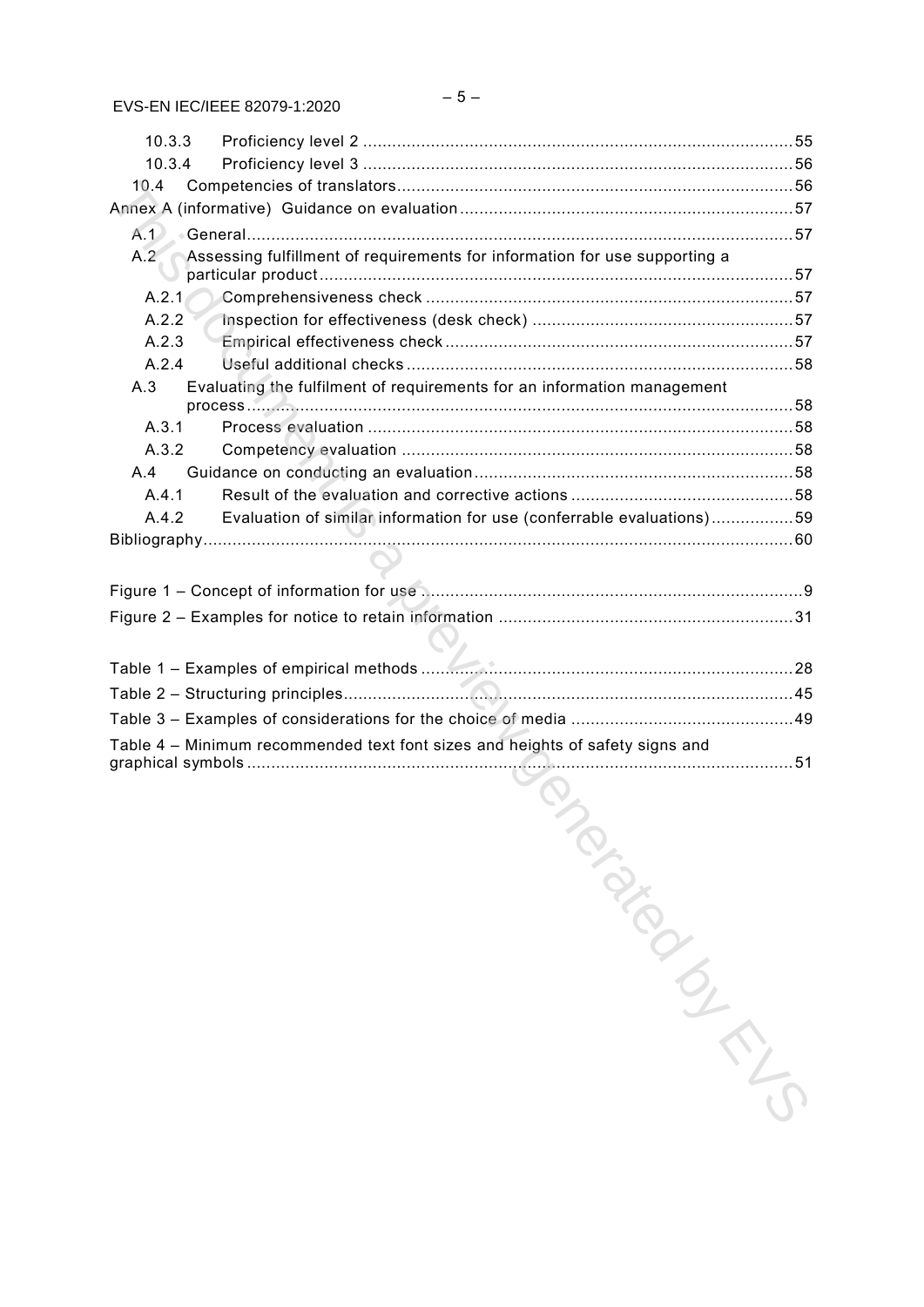| 10.3.3 |                                                                               |  |
|--------|-------------------------------------------------------------------------------|--|
| 10.3.4 |                                                                               |  |
| 10.4   |                                                                               |  |
|        |                                                                               |  |
|        |                                                                               |  |
| A.2    | Assessing fulfillment of requirements for information for use supporting a    |  |
| A.2.1  |                                                                               |  |
| A.2.2  |                                                                               |  |
| A.2.3  |                                                                               |  |
| A.2.4  |                                                                               |  |
| A.3    | Evaluating the fulfilment of requirements for an information management       |  |
| A.3.1  |                                                                               |  |
| A.3.2  |                                                                               |  |
| A.4    |                                                                               |  |
| A.4.1  |                                                                               |  |
| A.4.2  | Evaluation of similar information for use (conferrable evaluations)59         |  |
|        |                                                                               |  |
|        |                                                                               |  |
|        |                                                                               |  |
|        |                                                                               |  |
|        |                                                                               |  |
|        |                                                                               |  |
|        |                                                                               |  |
|        |                                                                               |  |
|        |                                                                               |  |
|        | Table 4 - Minimum recommended text font sizes and heights of safety signs and |  |
|        | <b>ONDIA</b>                                                                  |  |
|        |                                                                               |  |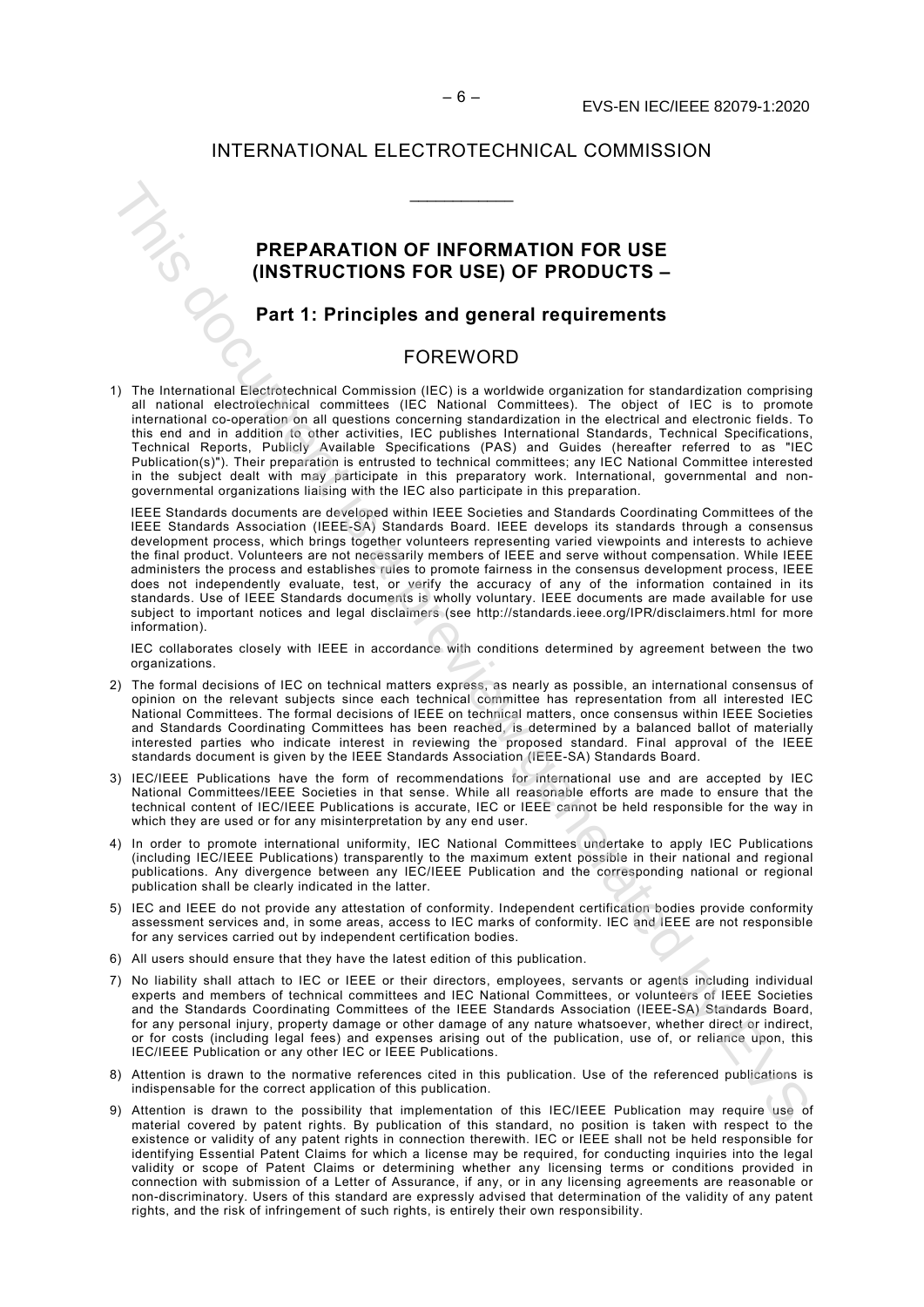#### INTERNATIONAL ELECTROTECHNICAL COMMISSION

\_\_\_\_\_\_\_\_\_\_\_\_

#### **PREPARATION OF INFORMATION FOR USE (INSTRUCTIONS FOR USE) OF PRODUCTS –**

### **Part 1: Principles and general requirements**

#### FOREWORD

1) The International Electrotechnical Commission (IEC) is a worldwide organization for standardization comprising all national electrotechnical committees (IEC National Committees). The object of IEC is to promote international co-operation on all questions concerning standardization in the electrical and electronic fields. To this end and in addition to other activities, IEC publishes International Standards, Technical Specifications, Technical Reports, Publicly Available Specifications (PAS) and Guides (hereafter referred to as "IEC Publication(s)"). Their preparation is entrusted to technical committees; any IEC National Committee interested in the subject dealt with may participate in this preparatory work. International, governmental and nongovernmental organizations liaising with the IEC also participate in this preparation.

IEEE Standards documents are developed within IEEE Societies and Standards Coordinating Committees of the IEEE Standards Association (IEEE-SA) Standards Board. IEEE develops its standards through a consensus development process, which brings together volunteers representing varied viewpoints and interests to achieve the final product. Volunteers are not necessarily members of IEEE and serve without compensation. While IEEE administers the process and establishes rules to promote fairness in the consensus development process, IEEE does not independently evaluate, test, or verify the accuracy of any of the information contained in its standards. Use of IEEE Standards documents is wholly voluntary. IEEE documents are made available for use subject to important notices and legal disclaimers (see http://standards.ieee.org/IPR/disclaimers.html for more information). **PREPARATION OF INFORMATION FOR USE<br>
(INSTRUCTIONS FOR USE) OF PRODUCTS –<br>
Part 1: Principles and general requirements<br>
This identical constructions of the properties of the construction of the properties<br>
This identical** 

IEC collaborates closely with IEEE in accordance with conditions determined by agreement between the two organizations.

- 2) The formal decisions of IEC on technical matters express, as nearly as possible, an international consensus of opinion on the relevant subjects since each technical committee has representation from all interested IEC National Committees. The formal decisions of IEEE on technical matters, once consensus within IEEE Societies and Standards Coordinating Committees has been reached, is determined by a balanced ballot of materially interested parties who indicate interest in reviewing the proposed standard. Final approval of the IEEE standards document is given by the IEEE Standards Association (IEEE-SA) Standards Board.
- 3) IEC/IEEE Publications have the form of recommendations for international use and are accepted by IEC National Committees/IEEE Societies in that sense. While all reasonable efforts are made to ensure that the technical content of IEC/IEEE Publications is accurate, IEC or IEEE cannot be held responsible for the way in which they are used or for any misinterpretation by any end user.
- 4) In order to promote international uniformity, IEC National Committees undertake to apply IEC Publications (including IEC/IEEE Publications) transparently to the maximum extent possible in their national and regional publications. Any divergence between any IEC/IEEE Publication and the corresponding national or regional publication shall be clearly indicated in the latter.
- 5) IEC and IEEE do not provide any attestation of conformity. Independent certification bodies provide conformity assessment services and, in some areas, access to IEC marks of conformity. IEC and IEEE are not responsible for any services carried out by independent certification bodies.
- 6) All users should ensure that they have the latest edition of this publication.
- 7) No liability shall attach to IEC or IEEE or their directors, employees, servants or agents including individual experts and members of technical committees and IEC National Committees, or volunteers of IEEE Societies and the Standards Coordinating Committees of the IEEE Standards Association (IEEE-SA) Standards Board, for any personal injury, property damage or other damage of any nature whatsoever, whether direct or indirect, or for costs (including legal fees) and expenses arising out of the publication, use of, or reliance upon, this IEC/IEEE Publication or any other IEC or IEEE Publications.
- 8) Attention is drawn to the normative references cited in this publication. Use of the referenced publications is indispensable for the correct application of this publication.
- 9) Attention is drawn to the possibility that implementation of this IEC/IEEE Publication may require use of material covered by patent rights. By publication of this standard, no position is taken with respect to the existence or validity of any patent rights in connection therewith. IEC or IEEE shall not be held responsible for identifying Essential Patent Claims for which a license may be required, for conducting inquiries into the legal validity or scope of Patent Claims or determining whether any licensing terms or conditions provided in connection with submission of a Letter of Assurance, if any, or in any licensing agreements are reasonable or non-discriminatory. Users of this standard are expressly advised that determination of the validity of any patent rights, and the risk of infringement of such rights, is entirely their own responsibility.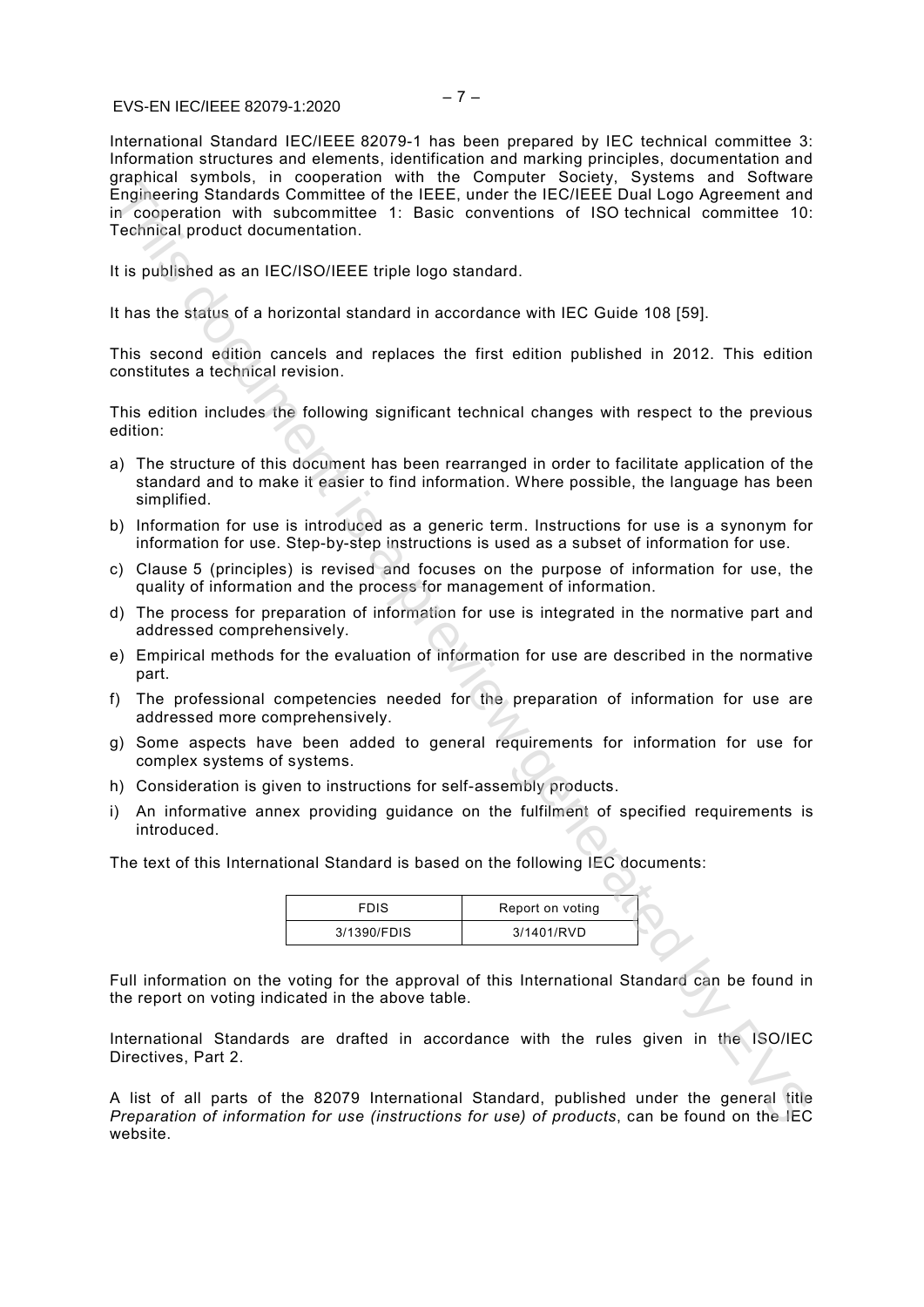#### $EVEENIEC/IECE 82070-1:2020$   $-7-$ © IEC/ISO/IEEE 2019 EVS-EN IEC/IEEE 82079-1:2020

International Standard IEC/IEEE 82079-1 has been prepared by IEC technical committee 3: Information structures and elements, identification and marking principles, documentation and graphical symbols, in cooperation with the Computer Society, Systems and Software Engineering Standards Committee of the IEEE, under the IEC/IEEE Dual Logo Agreement and in cooperation with subcommittee 1: Basic conventions of ISO technical committee 10: Technical product documentation. Engineering Standards Committee of the IEEE, under the IECEEE Dual Logo Agreement and<br>Engineering Standards Committee 1: Basic conventions of ISO lechnical committee 19:<br>It is population with subcommittee 1: Basic conventi

It is published as an IEC/ISO/IEEE triple logo standard.

It has the status of a horizontal standard in accordance with IEC Guide 108 [59].

This second edition cancels and replaces the first edition published in 2012. This edition constitutes a technical revision.

This edition includes the following significant technical changes with respect to the previous edition:

- a) The structure of this document has been rearranged in order to facilitate application of the standard and to make it easier to find information. Where possible, the language has been simplified.
- b) Information for use is introduced as a generic term. Instructions for use is a synonym for information for use. Step-by-step instructions is used as a subset of information for use.
- c) Clause 5 (principles) is revised and focuses on the purpose of information for use, the quality of information and the process for management of information.
- d) The process for preparation of information for use is integrated in the normative part and addressed comprehensively.
- e) Empirical methods for the evaluation of information for use are described in the normative part.
- f) The professional competencies needed for the preparation of information for use are addressed more comprehensively.
- g) Some aspects have been added to general requirements for information for use for complex systems of systems.
- h) Consideration is given to instructions for self-assembly products.
- i) An informative annex providing guidance on the fulfilment of specified requirements is introduced.

The text of this International Standard is based on the following IEC documents:

| FDIS        | Report on voting |  |
|-------------|------------------|--|
| 3/1390/FDIS | 3/1401/RVD       |  |

Full information on the voting for the approval of this International Standard can be found in the report on voting indicated in the above table.

International Standards are drafted in accordance with the rules given in the ISO/IEC Directives, Part 2.

A list of all parts of the 82079 International Standard, published under the general title *Preparation of information for use (instructions for use) of products*, can be found on the IEC website.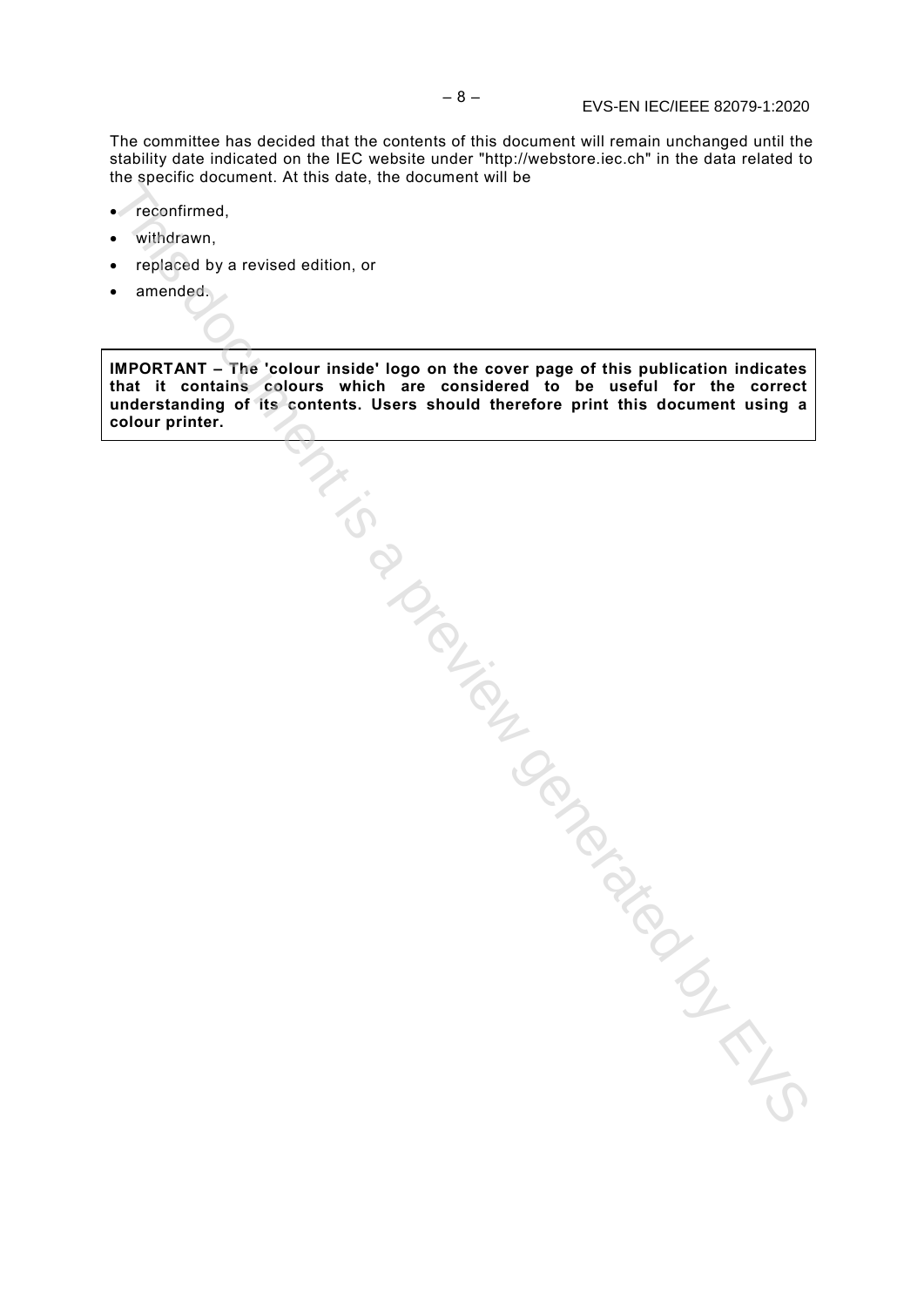The committee has decided that the contents of this document will remain unchanged until the stability date indicated on the IEC website under "http://webstore.iec.ch" in the data related to the specific document. At this date, the document will be

- reconfirmed,
- withdrawn,
- replaced by a revised edition, or
- amended.

**IMPORTANT – The 'colour inside' logo on the cover page of this publication indicates that it contains colours which are considered to be useful for the correct understanding of its contents. Users should therefore print this document using a colour printer.** Tigated by Conduction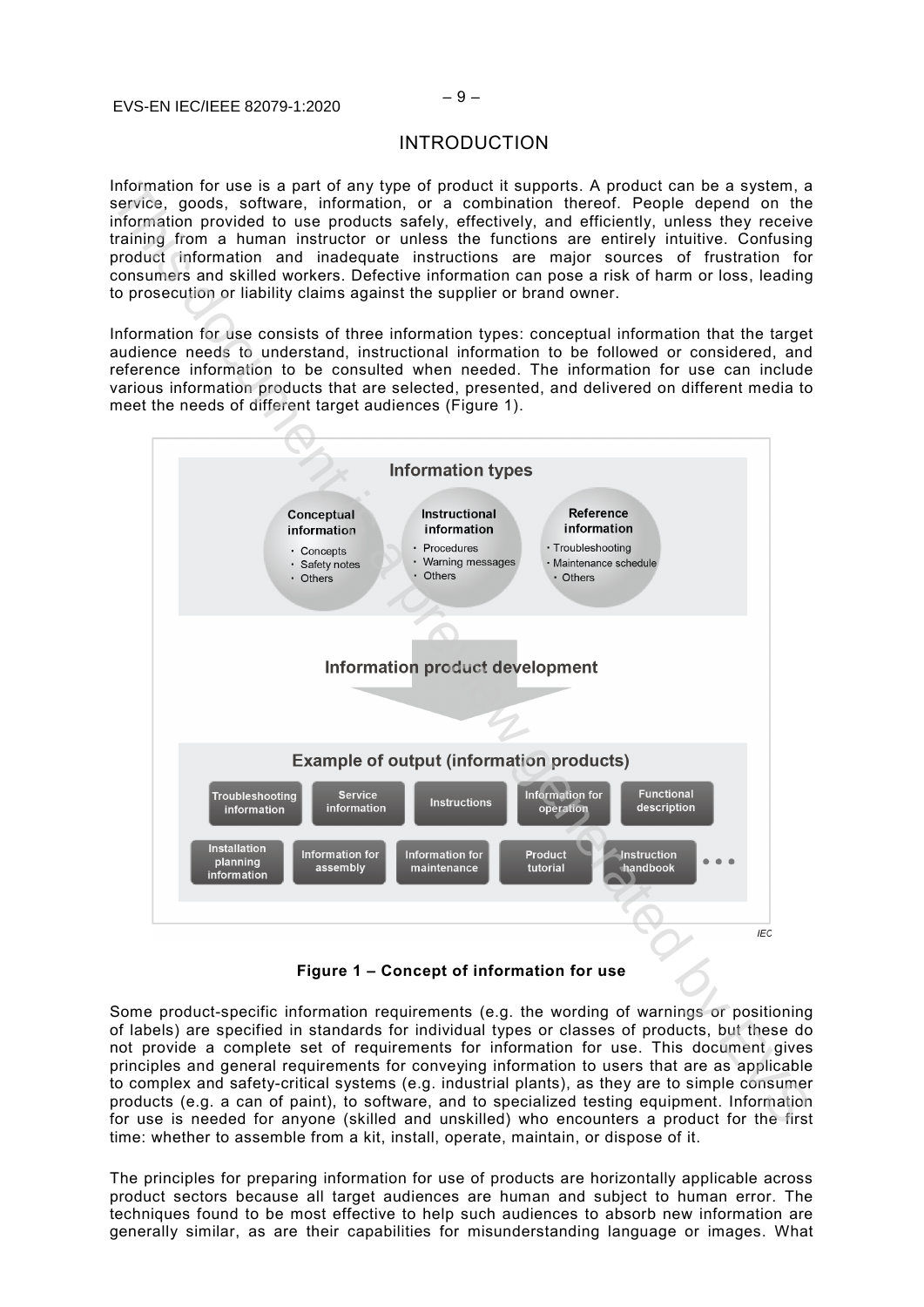#### $E_i$   $\leq 9 - 9 - 9$  –  $\leq 9 - 9$  –  $\leq 9 - 9$  –  $\leq 9 - 9$ © IEC/ISO/IEEE 2019 EVS-EN IEC/IEEE 82079-1:2020

#### INTRODUCTION

Information for use is a part of any type of product it supports. A product can be a system, a service, goods, software, information, or a combination thereof. People depend on the information provided to use products safely, effectively, and efficiently, unless they receive training from a human instructor or unless the functions are entirely intuitive. Confusing product information and inadequate instructions are major sources of frustration for consumers and skilled workers. Defective information can pose a risk of harm or loss, leading to prosecution or liability claims against the supplier or brand owner.

Information for use consists of three information types: conceptual information that the target audience needs to understand, instructional information to be followed or considered, and reference information to be consulted when needed. The information for use can include various information products that are selected, presented, and delivered on different media to meet the needs of different target audiences (Figure 1).



**Figure 1 – Concept of information for use**

Some product-specific information requirements (e.g. the wording of warnings or positioning of labels) are specified in standards for individual types or classes of products, but these do not provide a complete set of requirements for information for use. This document gives principles and general requirements for conveying information to users that are as applicable to complex and safety-critical systems (e.g. industrial plants), as they are to simple consumer products (e.g. a can of paint), to software, and to specialized testing equipment. Information for use is needed for anyone (skilled and unskilled) who encounters a product for the first time: whether to assemble from a kit, install, operate, maintain, or dispose of it.

The principles for preparing information for use of products are horizontally applicable across product sectors because all target audiences are human and subject to human error. The techniques found to be most effective to help such audiences to absorb new information are generally similar, as are their capabilities for misunderstanding language or images. What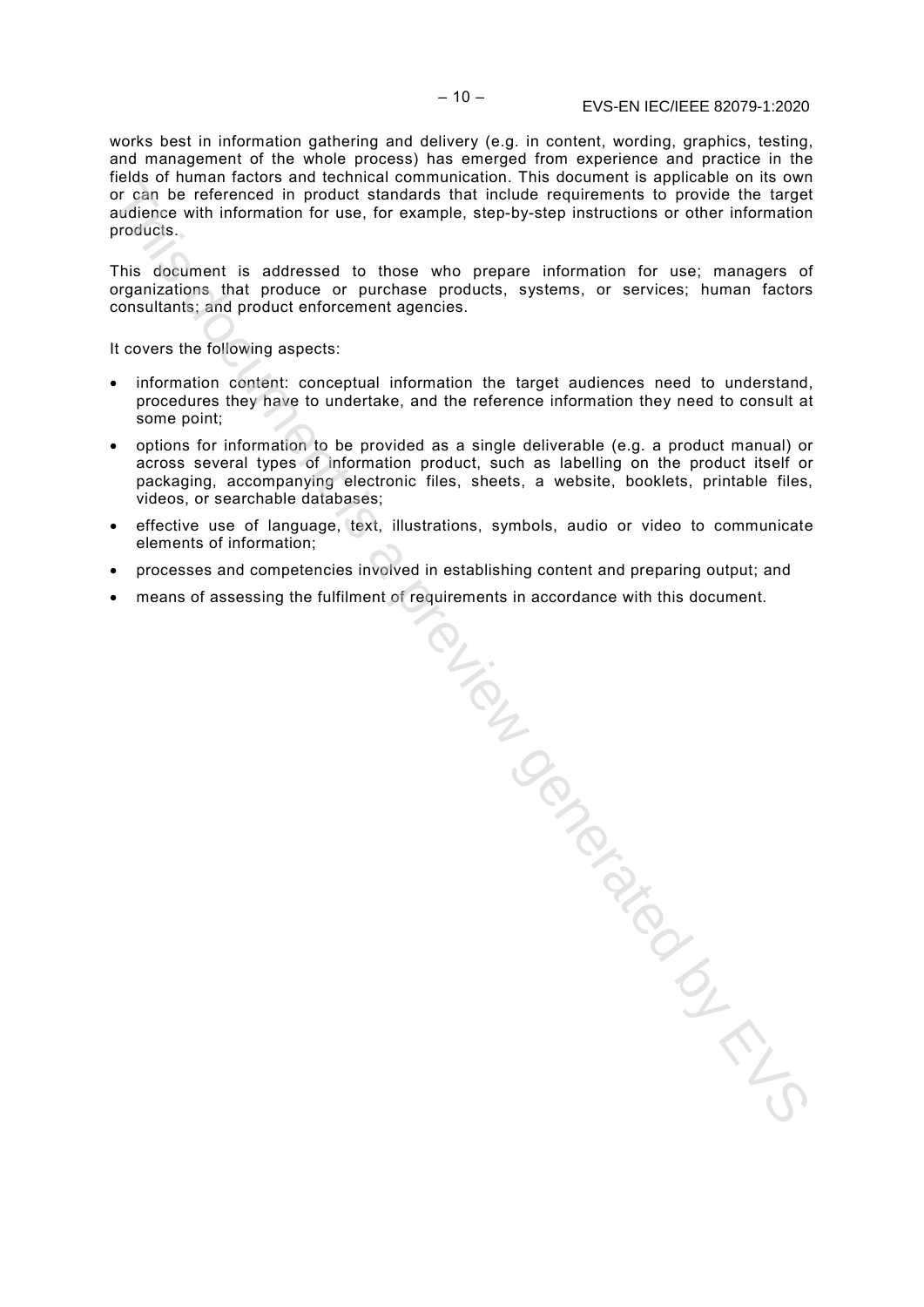works best in information gathering and delivery (e.g. in content, wording, graphics, testing, and management of the whole process) has emerged from experience and practice in the fields of human factors and technical communication. This document is applicable on its own or can be referenced in product standards that include requirements to provide the target audience with information for use, for example, step-by-step instructions or other information products.

This document is addressed to those who prepare information for use; managers of organizations that produce or purchase products, systems, or services; human factors consultants; and product enforcement agencies.

It covers the following aspects:

- information content: conceptual information the target audiences need to understand, procedures they have to undertake, and the reference information they need to consult at some point;
- options for information to be provided as a single deliverable (e.g. a product manual) or across several types of information product, such as labelling on the product itself or packaging, accompanying electronic files, sheets, a website, booklets, printable files, videos, or searchable databases;
- effective use of language, text, illustrations, symbols, audio or video to communicate elements of information;
- processes and competencies involved in establishing content and preparing output; and
- means of assessing the fulfilment of requirements in accordance with this document.

esta.<br>Williamen.<br>Control Control Control Control Control Control Control Control Control Control Control Control Control Control Control Control Control Control Control Control Control Control Control Control Control Contr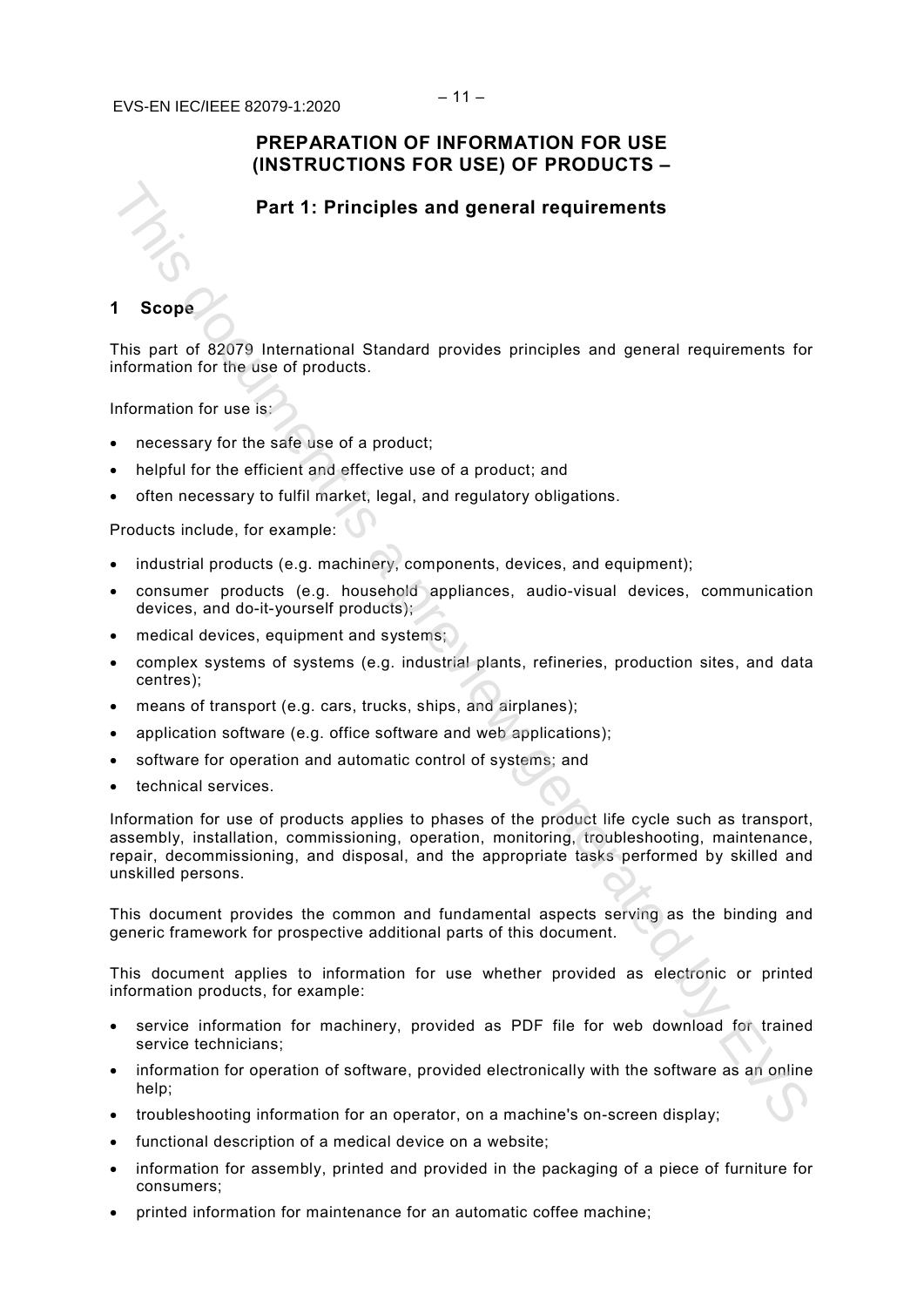#### $E_i$ (CIN) IEC/IEEE 82070-1:2020 – 11 – © IEC/ISO/IEEE 2019 EVS-EN IEC/IEEE 82079-1:2020

#### **PREPARATION OF INFORMATION FOR USE (INSTRUCTIONS FOR USE) OF PRODUCTS –**

#### **Part 1: Principles and general requirements**

#### **1 Scope**

This part of 82079 International Standard provides principles and general requirements for information for the use of products.

Information for use is:

- necessary for the safe use of a product;
- helpful for the efficient and effective use of a product; and
- often necessary to fulfil market, legal, and regulatory obligations.

Products include, for example:

- industrial products (e.g. machinery, components, devices, and equipment);
- consumer products (e.g. household appliances, audio-visual devices, communication devices, and do-it-yourself products);
- medical devices, equipment and systems;
- complex systems of systems (e.g. industrial plants, refineries, production sites, and data centres);
- means of transport (e.g. cars, trucks, ships, and airplanes);
- application software (e.g. office software and web applications);
- software for operation and automatic control of systems; and
- technical services.

Information for use of products applies to phases of the product life cycle such as transport, assembly, installation, commissioning, operation, monitoring, troubleshooting, maintenance, repair, decommissioning, and disposal, and the appropriate tasks performed by skilled and unskilled persons. Part 1: Principles and general requirements<br>
1 Scope<br>
This part of 82079 International Standard provides principles and general requirements for<br>
Information for the use of production<br>
information for the use of production

This document provides the common and fundamental aspects serving as the binding and generic framework for prospective additional parts of this document.

This document applies to information for use whether provided as electronic or printed information products, for example:

- service information for machinery, provided as PDF file for web download for trained service technicians;
- information for operation of software, provided electronically with the software as an online help;
- troubleshooting information for an operator, on a machine's on-screen display;
- functional description of a medical device on a website:
- information for assembly, printed and provided in the packaging of a piece of furniture for consumers;
- printed information for maintenance for an automatic coffee machine;